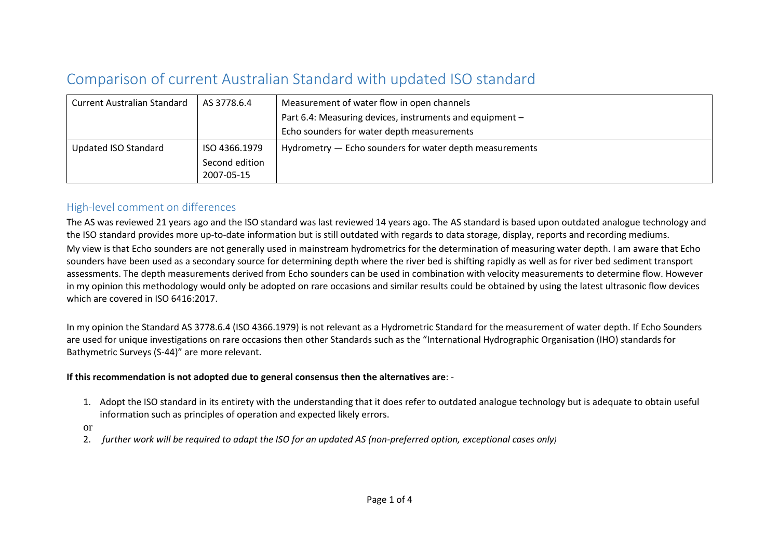# Comparison of current Australian Standard with updated ISO standard

| <b>Current Australian Standard</b> | AS 3778.6.4    | Measurement of water flow in open channels               |  |
|------------------------------------|----------------|----------------------------------------------------------|--|
|                                    |                | Part 6.4: Measuring devices, instruments and equipment - |  |
|                                    |                | Echo sounders for water depth measurements               |  |
| Updated ISO Standard               | ISO 4366.1979  | Hydrometry – Echo sounders for water depth measurements  |  |
|                                    | Second edition |                                                          |  |
|                                    | 2007-05-15     |                                                          |  |

## High-level comment on differences

The AS was reviewed 21 years ago and the ISO standard was last reviewed 14 years ago. The AS standard is based upon outdated analogue technology and the ISO standard provides more up-to-date information but is still outdated with regards to data storage, display, reports and recording mediums.

My view is that Echo sounders are not generally used in mainstream hydrometrics for the determination of measuring water depth. I am aware that Echo sounders have been used as a secondary source for determining depth where the river bed is shifting rapidly as well as for river bed sediment transport assessments. The depth measurements derived from Echo sounders can be used in combination with velocity measurements to determine flow. However in my opinion this methodology would only be adopted on rare occasions and similar results could be obtained by using the latest ultrasonic flow devices which are covered in ISO 6416:2017.

In my opinion the Standard AS 3778.6.4 (ISO 4366.1979) is not relevant as a Hydrometric Standard for the measurement of water depth. If Echo Sounders are used for unique investigations on rare occasions then other Standards such as the "International Hydrographic Organisation (IHO) standards for Bathymetric Surveys (S-44)" are more relevant.

#### **If this recommendation is not adopted due to general consensus then the alternatives are**: -

- 1. Adopt the ISO standard in its entirety with the understanding that it does refer to outdated analogue technology but is adequate to obtain useful information such as principles of operation and expected likely errors.
- or
- 2. *further work will be required to adapt the ISO for an updated AS (non-preferred option, exceptional cases only)*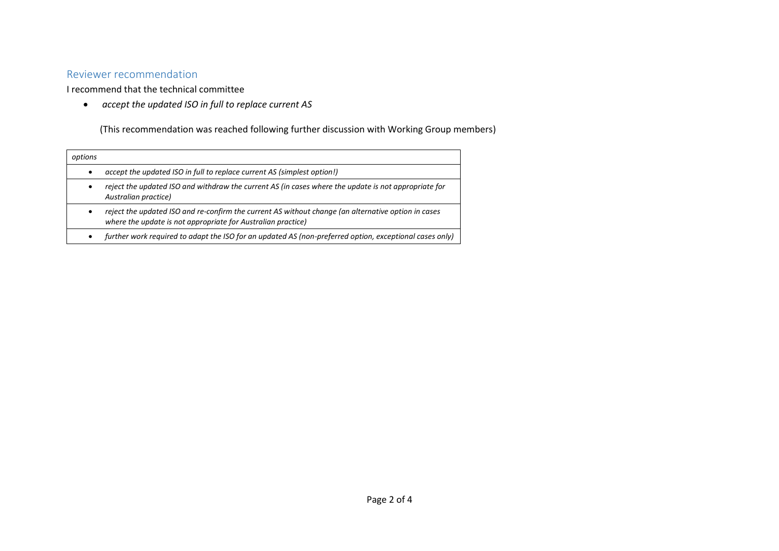## Reviewer recommendation

I recommend that the technical committee

• *accept the updated ISO in full to replace current AS*

(This recommendation was reached following further discussion with Working Group members)

| options |                                                                                                                                                                     |
|---------|---------------------------------------------------------------------------------------------------------------------------------------------------------------------|
|         | accept the updated ISO in full to replace current AS (simplest option!)                                                                                             |
|         | reject the updated ISO and withdraw the current AS (in cases where the update is not appropriate for<br>Australian practice)                                        |
|         | reject the updated ISO and re-confirm the current AS without change (an alternative option in cases<br>where the update is not appropriate for Australian practice) |
|         | further work required to adapt the ISO for an updated AS (non-preferred option, exceptional cases only)                                                             |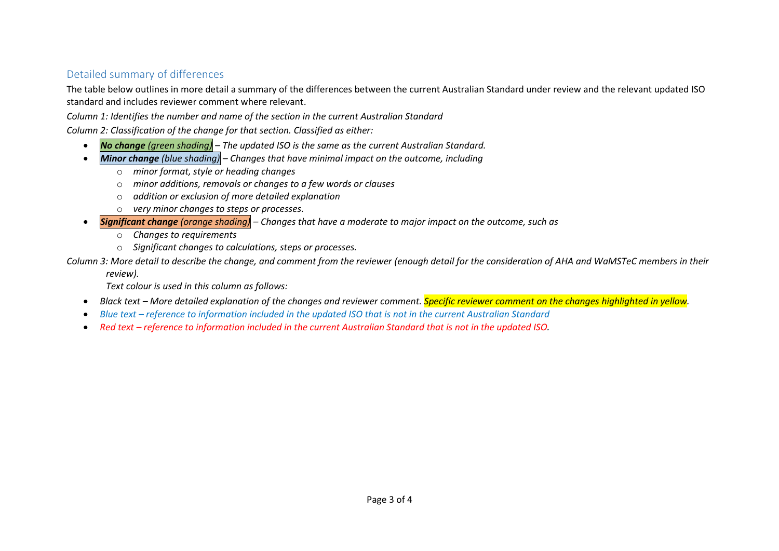## Detailed summary of differences

The table below outlines in more detail a summary of the differences between the current Australian Standard under review and the relevant updated ISO standard and includes reviewer comment where relevant.

*Column 1: Identifies the number and name of the section in the current Australian Standard*

*Column 2: Classification of the change for that section. Classified as either:*

- *No change (green shading) – The updated ISO is the same as the current Australian Standard.*
- *Minor change (blue shading) – Changes that have minimal impact on the outcome, including*
	- o *minor format, style or heading changes*
	- o *minor additions, removals or changes to a few words or clauses*
	- o *addition or exclusion of more detailed explanation*
	- o *very minor changes to steps or processes.*
- *Significant change (orange shading) – Changes that have a moderate to major impact on the outcome, such as*
	- o *Changes to requirements*
	- o *Significant changes to calculations, steps or processes.*

*Column 3: More detail to describe the change, and comment from the reviewer (enough detail for the consideration of AHA and WaMSTeC members in their* 

*review).*

*Text colour is used in this column as follows:*

- *Black text – More detailed explanation of the changes and reviewer comment. Specific reviewer comment on the changes highlighted in yellow.*
- *Blue text – reference to information included in the updated ISO that is not in the current Australian Standard*
- Red text *reference to information included in the current Australian Standard that is not in the updated ISO.*